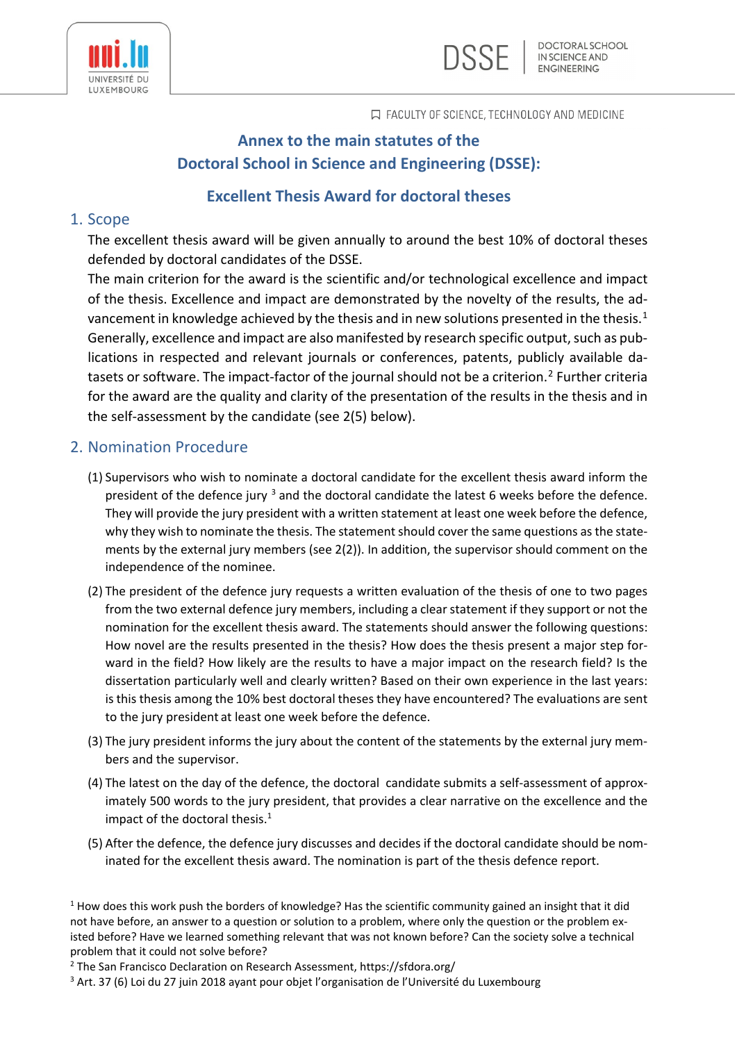



**口 FACULTY OF SCIENCE, TECHNOLOGY AND MEDICINE** 

# **Annex to the main statutes of the Doctoral School in Science and Engineering (DSSE):**

## **Excellent Thesis Award for doctoral theses**

## 1. Scope

The excellent thesis award will be given annually to around the best 10% of doctoral theses defended by doctoral candidates of the DSSE.

The main criterion for the award is the scientific and/or technological excellence and impact of the thesis. Excellence and impact are demonstrated by the novelty of the results, the ad-vancement in knowledge achieved by the thesis and in new solutions presented in the thesis.<sup>[1](#page-0-0)</sup> Generally, excellence and impact are also manifested by research specific output, such as publications in respected and relevant journals or conferences, patents, publicly available da-tasets or software. The impact-factor of the journal should not be a criterion.<sup>[2](#page-0-1)</sup> Further criteria for the award are the quality and clarity of the presentation of the results in the thesis and in the self-assessment by the candidate (see 2(5) below).

## 2. Nomination Procedure

- (1) Supervisors who wish to nominate a doctoral candidate for the excellent thesis award inform the president of the defence jury  $3$  and the doctoral candidate the latest 6 weeks before the defence. They will provide the jury president with a written statement at least one week before the defence, why they wish to nominate the thesis. The statement should cover the same questions as the statements by the external jury members (see 2(2)). In addition, the supervisor should comment on the independence of the nominee.
- (2) The president of the defence jury requests a written evaluation of the thesis of one to two pages from the two external defence jury members, including a clear statement if they support or not the nomination for the excellent thesis award. The statements should answer the following questions: How novel are the results presented in the thesis? How does the thesis present a major step forward in the field? How likely are the results to have a major impact on the research field? Is the dissertation particularly well and clearly written? Based on their own experience in the last years: is this thesis among the 10% best doctoral theses they have encountered? The evaluations are sent to the jury president at least one week before the defence.
- (3) The jury president informs the jury about the content of the statements by the external jury members and the supervisor.
- (4) The latest on the day of the defence, the doctoral candidate submits a self-assessment of approximately 500 words to the jury president, that provides a clear narrative on the excellence and the impact of the doctoral thesis. $1$
- (5) After the defence, the defence jury discusses and decides if the doctoral candidate should be nominated for the excellent thesis award. The nomination is part of the thesis defence report.

<span id="page-0-0"></span> $1$  How does this work push the borders of knowledge? Has the scientific community gained an insight that it did not have before, an answer to a question or solution to a problem, where only the question or the problem existed before? Have we learned something relevant that was not known before? Can the society solve a technical problem that it could not solve before?

<span id="page-0-1"></span><sup>&</sup>lt;sup>2</sup> The San Francisco Declaration on Research Assessment, https://sfdora.org/

<span id="page-0-2"></span><sup>&</sup>lt;sup>3</sup> Art. 37 (6) Loi du 27 juin 2018 ayant pour objet l'organisation de l'Université du Luxembourg